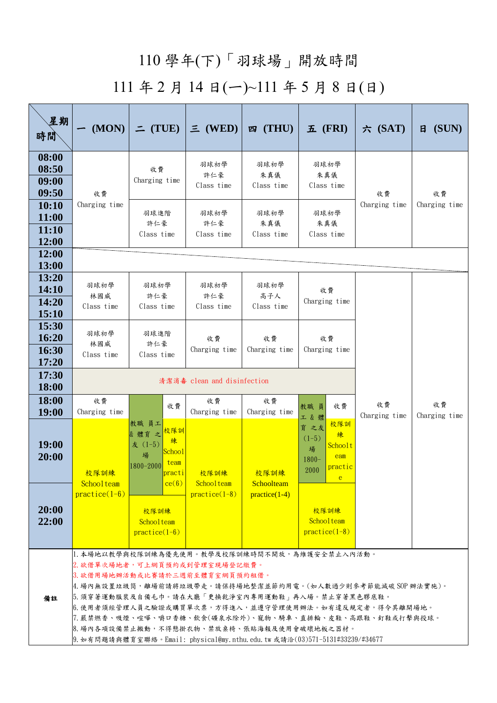## 110 學年(下)「羽球場」開放時間

## 111 年 2 月 14 日(ㄧ)~111 年 5 月 8 日(日)

| 星期<br>時間                                       | (MON)                                                                                                                                                                                                                                                                                                                                                                                                                                                                               | $=$ (TUE)                                                                                   | $\equiv$ (WED)                | 四 (THU)                       | $\overline{\mathbf{\Sigma}}$ (FRI)                                                     | 六 $(SAT)$           | (SUN)<br>$\mathsf{H}$ |  |  |  |  |
|------------------------------------------------|-------------------------------------------------------------------------------------------------------------------------------------------------------------------------------------------------------------------------------------------------------------------------------------------------------------------------------------------------------------------------------------------------------------------------------------------------------------------------------------|---------------------------------------------------------------------------------------------|-------------------------------|-------------------------------|----------------------------------------------------------------------------------------|---------------------|-----------------------|--|--|--|--|
| 08:00<br>08:50<br>09:00<br>09:50               | 收費<br>Charging time                                                                                                                                                                                                                                                                                                                                                                                                                                                                 | 收費<br>Charging time                                                                         | 羽球初學<br>許仁豪<br>Class time     | 羽球初學<br>朱真儀<br>Class time     | 羽球初學<br>朱真儀<br>Class time                                                              | 收費<br>Charging time | 收費<br>Charging time   |  |  |  |  |
| 10:10<br><b>11:00</b><br>11:10<br>12:00        |                                                                                                                                                                                                                                                                                                                                                                                                                                                                                     | 羽球進階<br>許仁豪<br>Class time                                                                   | 羽球初學<br>許仁豪<br>Class time     | 羽球初學<br>朱真儀<br>Class time     | 羽球初學<br>朱真儀<br>Class time                                                              |                     |                       |  |  |  |  |
| 12:00<br>13:00                                 |                                                                                                                                                                                                                                                                                                                                                                                                                                                                                     |                                                                                             |                               |                               |                                                                                        |                     |                       |  |  |  |  |
| 13:20<br>14:10<br>14:20<br><b>15:10</b>        | 羽球初學<br>林國威<br>Class time                                                                                                                                                                                                                                                                                                                                                                                                                                                           | 羽球初學<br>許仁豪<br>Class time                                                                   | 羽球初學<br>許仁豪<br>Class time     | 羽球初學<br>高子人<br>Class time     | 收費<br>Charging time                                                                    |                     |                       |  |  |  |  |
| 15:30<br><b>16:20</b><br><b>16:30</b><br>17:20 | 羽球初學<br>林國威<br>Class time                                                                                                                                                                                                                                                                                                                                                                                                                                                           | 羽球進階<br>許仁豪<br>Class time                                                                   | 收費<br>Charging time           | 收費<br>Charging time           | 收費<br>Charging time                                                                    |                     |                       |  |  |  |  |
| 17:30<br><b>18:00</b>                          |                                                                                                                                                                                                                                                                                                                                                                                                                                                                                     | 清潔消毒 clean and disinfection                                                                 |                               |                               |                                                                                        |                     |                       |  |  |  |  |
| 18:00<br><b>19:00</b>                          | 收費<br>Charging time                                                                                                                                                                                                                                                                                                                                                                                                                                                                 | 收費                                                                                          | 收費<br>Charging time           | 收費<br>Charging time           | 教職員<br>收費<br>工&體                                                                       | 收費<br>Charging time | 收費<br>Charging time   |  |  |  |  |
| <b>19:00</b><br>20:00                          | 校隊訓練                                                                                                                                                                                                                                                                                                                                                                                                                                                                                | 教職 員工<br>校隊訓<br>& 體育 之<br>練<br>友 (1-5)<br><b>School</b><br>場<br>team<br>1800-2000<br>practi | 校隊訓練                          | 校隊訓練                          | 校隊訓<br>育 之友<br>練<br>$(1-5)$<br>Schoolt<br>場<br>eam<br>$1800 -$<br>practic<br>2000<br>e |                     |                       |  |  |  |  |
| 20:00<br>22:00                                 | Schoolteam<br>$practive(1-6)$                                                                                                                                                                                                                                                                                                                                                                                                                                                       | ce(6)<br>校隊訓練<br>Schoolteam<br>$practive(1-6)$                                              | Schoolteam<br>$practive(1-8)$ | Schoolteam<br>$practive(1-4)$ | 校隊訓練<br>Schoolteam<br>$practive(1-8)$                                                  |                     |                       |  |  |  |  |
| 備註                                             | 1. 本場地以教學與校隊訓練為優先使用。教學及校隊訓練時間不開放,為維護安全禁止入內活動。<br>2. 欲借單次場地者,可上網頁預約或到管理室現場登記繳費。<br>3. 欲借用場地辦活動或比賽請於三週前至體育室網頁預約租借。<br> 4. 場內無設置垃圾筒,離場前請將垃圾帶走。請保持場地整潔並節約用電。(如人數過少則參考節能減碳 SOP 辦法實施)。<br>5.須穿著運動服裝及自備毛巾。請在大廳「更換乾淨室內專用運動鞋」再入場。禁止穿著黑色膠底鞋。<br> 6.使用者須經管理人員之驗證或購買單次票,方得進入,並遵守管理使用辦法。如有違反規定者,得令其離開場地。<br>7. 嚴禁燃香、吸煙、喧嘩、嚼口香糖、飲食(礦泉水除外)、寵物、騎車、直排輪、皮鞋、高跟鞋、釘鞋或打擊與投球。<br> 8. 場內各項設備禁止搬動,不得懸掛衣物、禁放桌椅、張貼海報及使用會破壞地板之器材。<br> 9. 如有問題請與體育室聯絡。Email: physical@my.nthu.edu.tw或請洽(03)571-5131#33239/#34677 |                                                                                             |                               |                               |                                                                                        |                     |                       |  |  |  |  |